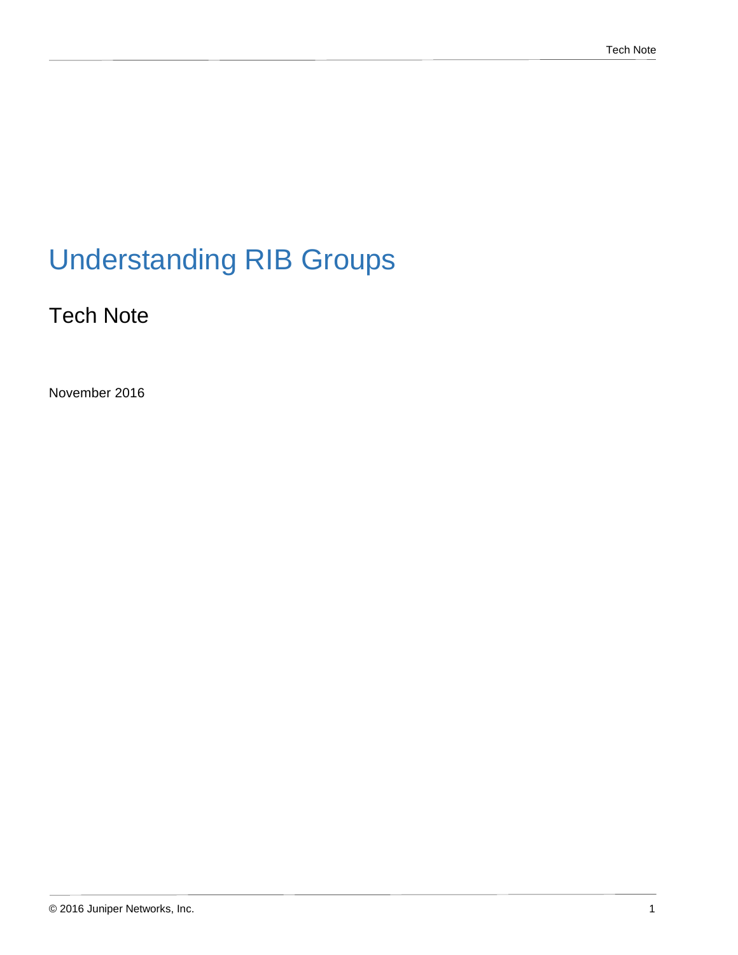# Understanding RIB Groups

### Tech Note

November 2016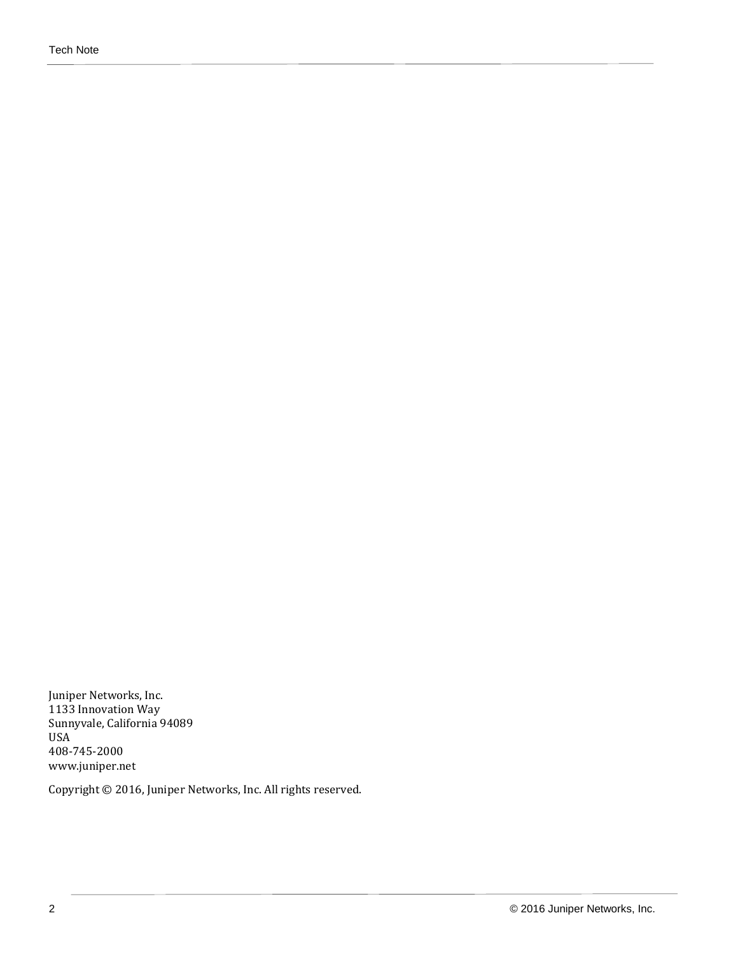Juniper Networks, Inc. 1133 Innovation Way Sunnyvale, California 94089 USA 408-745-2000 www.juniper.net

Copyright © 2016, Juniper Networks, Inc. All rights reserved.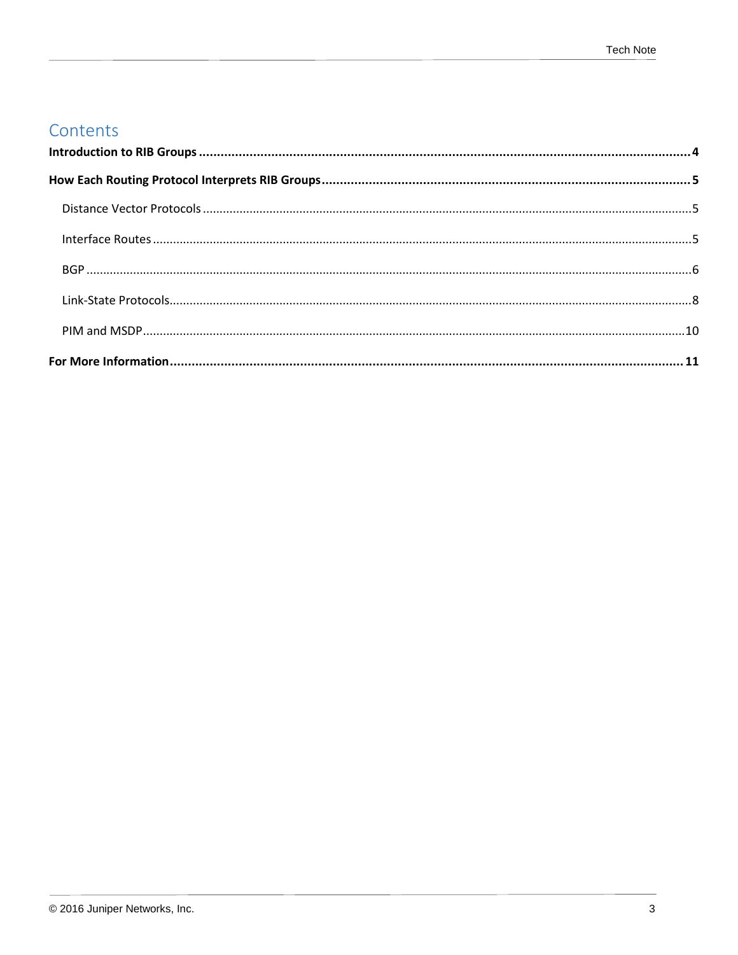### Contents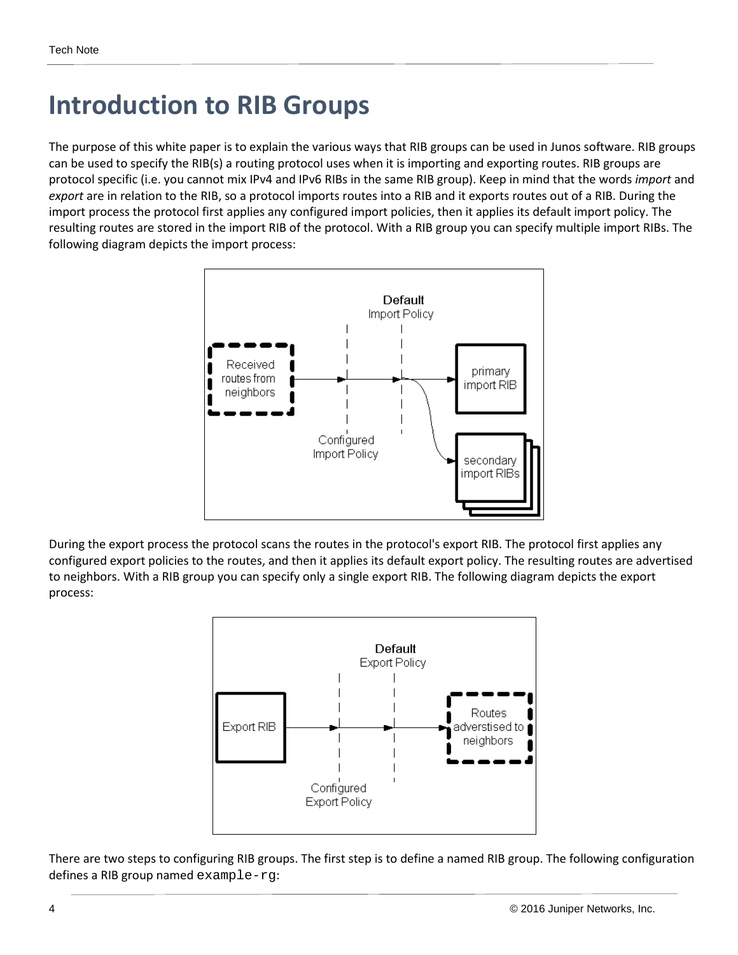## <span id="page-3-0"></span>**Introduction to RIB Groups**

The purpose of this white paper is to explain the various ways that RIB groups can be used in Junos software. RIB groups can be used to specify the RIB(s) a routing protocol uses when it is importing and exporting routes. RIB groups are protocol specific (i.e. you cannot mix IPv4 and IPv6 RIBs in the same RIB group). Keep in mind that the words *import* and *export* are in relation to the RIB, so a protocol imports routes into a RIB and it exports routes out of a RIB. During the import process the protocol first applies any configured import policies, then it applies its default import policy. The resulting routes are stored in the import RIB of the protocol. With a RIB group you can specify multiple import RIBs. The following diagram depicts the import process:



During the export process the protocol scans the routes in the protocol's export RIB. The protocol first applies any configured export policies to the routes, and then it applies its default export policy. The resulting routes are advertised to neighbors. With a RIB group you can specify only a single export RIB. The following diagram depicts the export process:



There are two steps to configuring RIB groups. The first step is to define a named RIB group. The following configuration defines a RIB group named example-rg: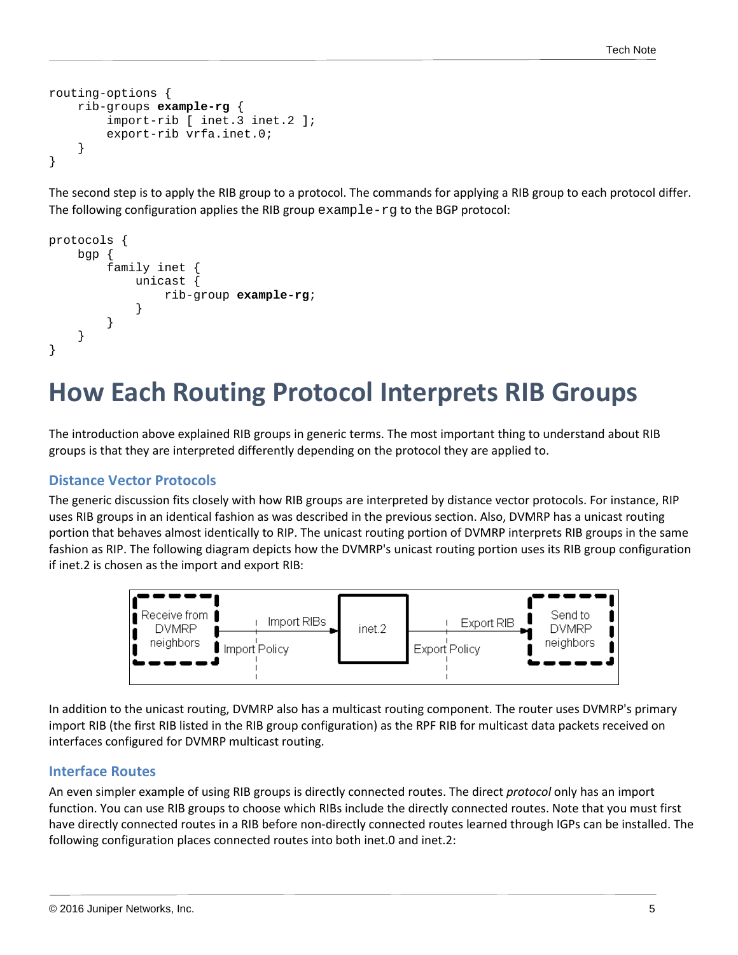```
routing-options {
     rib-groups example-rg {
         import-rib [ inet.3 inet.2 ];
         export-rib vrfa.inet.0;
     }
}
```
The second step is to apply the RIB group to a protocol. The commands for applying a RIB group to each protocol differ. The following configuration applies the RIB group example-rg to the BGP protocol:

```
protocols {
    bgp {
        family inet {
            unicast {
               rib-group example-rg;
 }
 }
     }
}
```
### <span id="page-4-0"></span>**How Each Routing Protocol Interprets RIB Groups**

The introduction above explained RIB groups in generic terms. The most important thing to understand about RIB groups is that they are interpreted differently depending on the protocol they are applied to.

#### <span id="page-4-1"></span>**Distance Vector Protocols**

The generic discussion fits closely with how RIB groups are interpreted by distance vector protocols. For instance, RIP uses RIB groups in an identical fashion as was described in the previous section. Also, DVMRP has a unicast routing portion that behaves almost identically to RIP. The unicast routing portion of DVMRP interprets RIB groups in the same fashion as RIP. The following diagram depicts how the DVMRP's unicast routing portion uses its RIB group configuration if inet.2 is chosen as the import and export RIB:



In addition to the unicast routing, DVMRP also has a multicast routing component. The router uses DVMRP's primary import RIB (the first RIB listed in the RIB group configuration) as the RPF RIB for multicast data packets received on interfaces configured for DVMRP multicast routing.

#### <span id="page-4-2"></span>**Interface Routes**

An even simpler example of using RIB groups is directly connected routes. The direct *protocol* only has an import function. You can use RIB groups to choose which RIBs include the directly connected routes. Note that you must first have directly connected routes in a RIB before non-directly connected routes learned through IGPs can be installed. The following configuration places connected routes into both inet.0 and inet.2: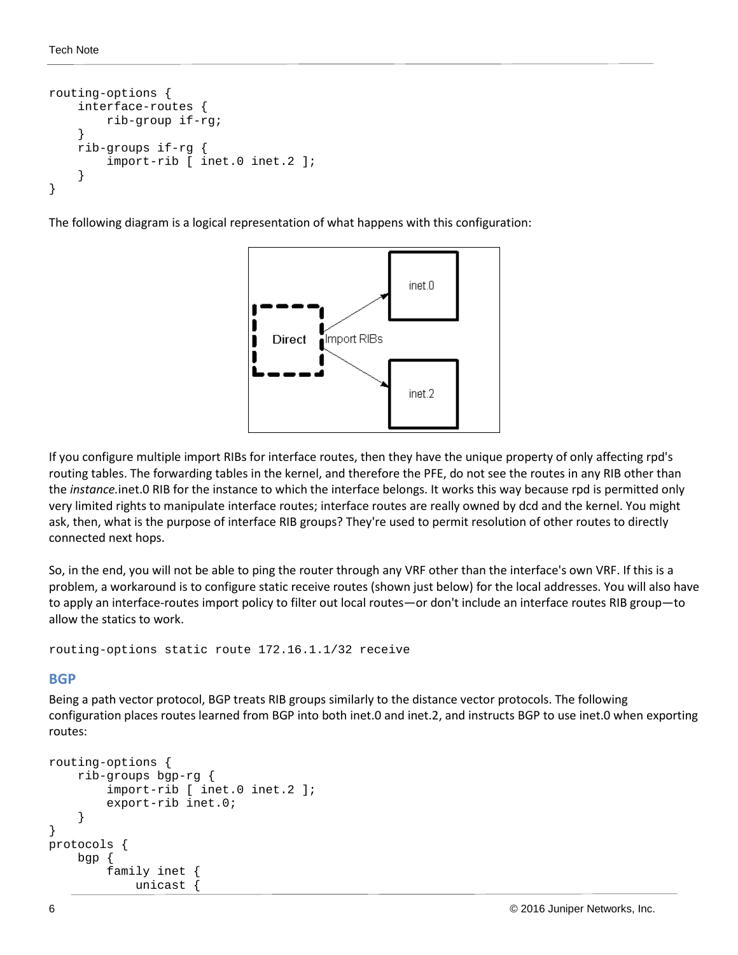```
routing-options {
     interface-routes {
          rib-group if-rg;
     }
     rib-groups if-rg {
          import-rib [ inet.0 inet.2 ];
     }
}
```
The following diagram is a logical representation of what happens with this configuration:



If you configure multiple import RIBs for interface routes, then they have the unique property of only affecting rpd's routing tables. The forwarding tables in the kernel, and therefore the PFE, do not see the routes in any RIB other than the *instance.*inet.0 RIB for the instance to which the interface belongs. It works this way because rpd is permitted only very limited rights to manipulate interface routes; interface routes are really owned by dcd and the kernel. You might ask, then, what is the purpose of interface RIB groups? They're used to permit resolution of other routes to directly connected next hops.

So, in the end, you will not be able to ping the router through any VRF other than the interface's own VRF. If this is a problem, a workaround is to configure static receive routes (shown just below) for the local addresses. You will also have to apply an interface-routes import policy to filter out local routes—or don't include an interface routes RIB group—to allow the statics to work.

<span id="page-5-0"></span>routing-options static route 172.16.1.1/32 receive

#### **BGP**

Being a path vector protocol, BGP treats RIB groups similarly to the distance vector protocols. The following configuration places routes learned from BGP into both inet.0 and inet.2, and instructs BGP to use inet.0 when exporting routes:

```
routing-options {
     rib-groups bgp-rg {
          import-rib [ inet.0 inet.2 ];
          export-rib inet.0;
     }
}
protocols {
     bgp {
          family inet {
              unicast {
```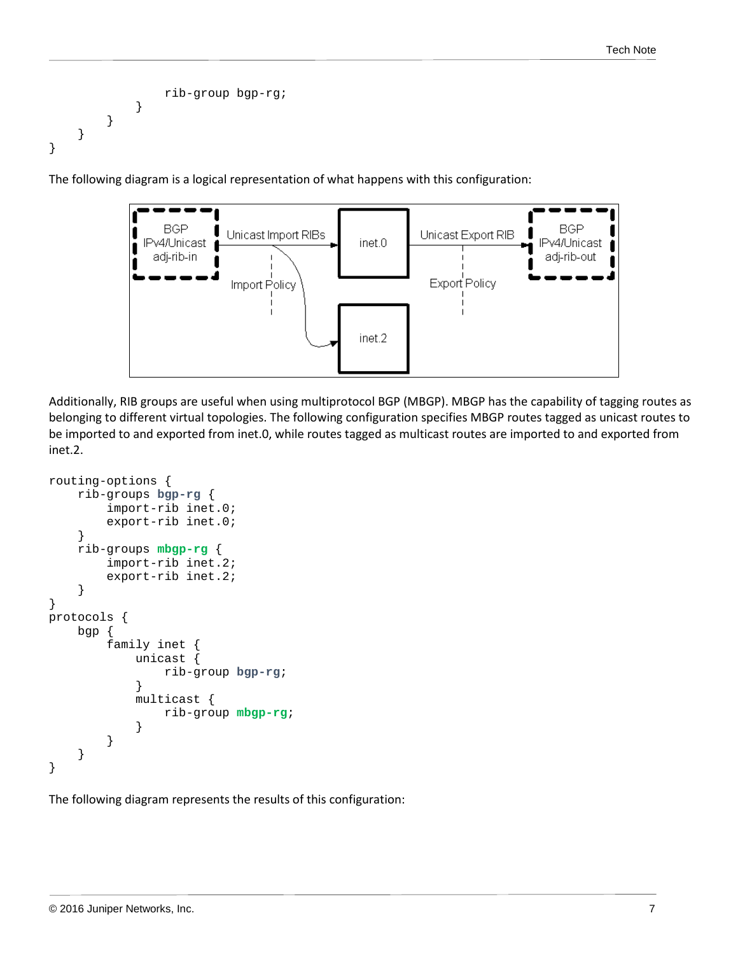```
 rib-group bgp-rg;
 }
       }
    }
}
```
The following diagram is a logical representation of what happens with this configuration:



Additionally, RIB groups are useful when using multiprotocol BGP (MBGP). MBGP has the capability of tagging routes as belonging to different virtual topologies. The following configuration specifies MBGP routes tagged as unicast routes to be imported to and exported from inet.0, while routes tagged as multicast routes are imported to and exported from inet.2.

```
routing-options {
     rib-groups bgp-rg {
         import-rib inet.0;
         export-rib inet.0;
     }
     rib-groups mbgp-rg {
         import-rib inet.2;
         export-rib inet.2;
     }
}
protocols {
     bgp {
         family inet {
             unicast {
             rib-group bgp-rg;
 }
             multicast {
                 rib-group mbgp-rg;
 }
         }
     }
}
```
The following diagram represents the results of this configuration: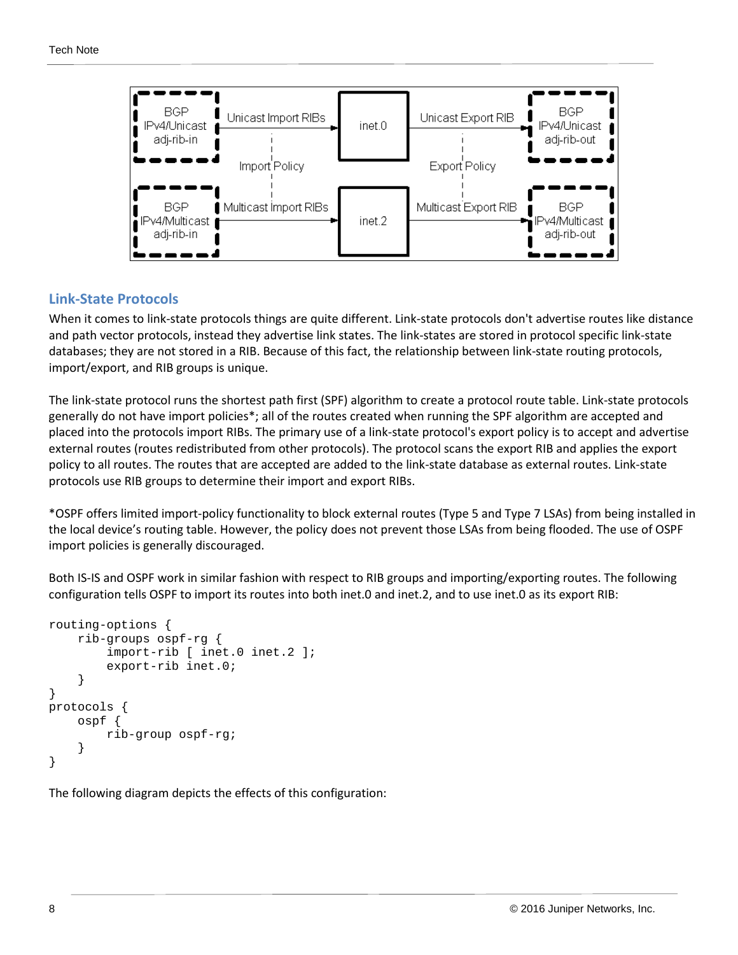

#### <span id="page-7-0"></span>**Link-State Protocols**

When it comes to link-state protocols things are quite different. Link-state protocols don't advertise routes like distance and path vector protocols, instead they advertise link states. The link-states are stored in protocol specific link-state databases; they are not stored in a RIB. Because of this fact, the relationship between link-state routing protocols, import/export, and RIB groups is unique.

The link-state protocol runs the shortest path first (SPF) algorithm to create a protocol route table. Link-state protocols generally do not have import policies\*; all of the routes created when running the SPF algorithm are accepted and placed into the protocols import RIBs. The primary use of a link-state protocol's export policy is to accept and advertise external routes (routes redistributed from other protocols). The protocol scans the export RIB and applies the export policy to all routes. The routes that are accepted are added to the link-state database as external routes. Link-state protocols use RIB groups to determine their import and export RIBs.

\*OSPF offers limited import-policy functionality to block external routes (Type 5 and Type 7 LSAs) from being installed in the local device's routing table. However, the policy does not prevent those LSAs from being flooded. The use of OSPF import policies is generally discouraged.

Both IS-IS and OSPF work in similar fashion with respect to RIB groups and importing/exporting routes. The following configuration tells OSPF to import its routes into both inet.0 and inet.2, and to use inet.0 as its export RIB:

```
routing-options {
     rib-groups ospf-rg {
         import-rib [ inet.0 inet.2 ];
         export-rib inet.0;
 }
}
protocols {
     ospf {
         rib-group ospf-rg;
 }
}
```
The following diagram depicts the effects of this configuration: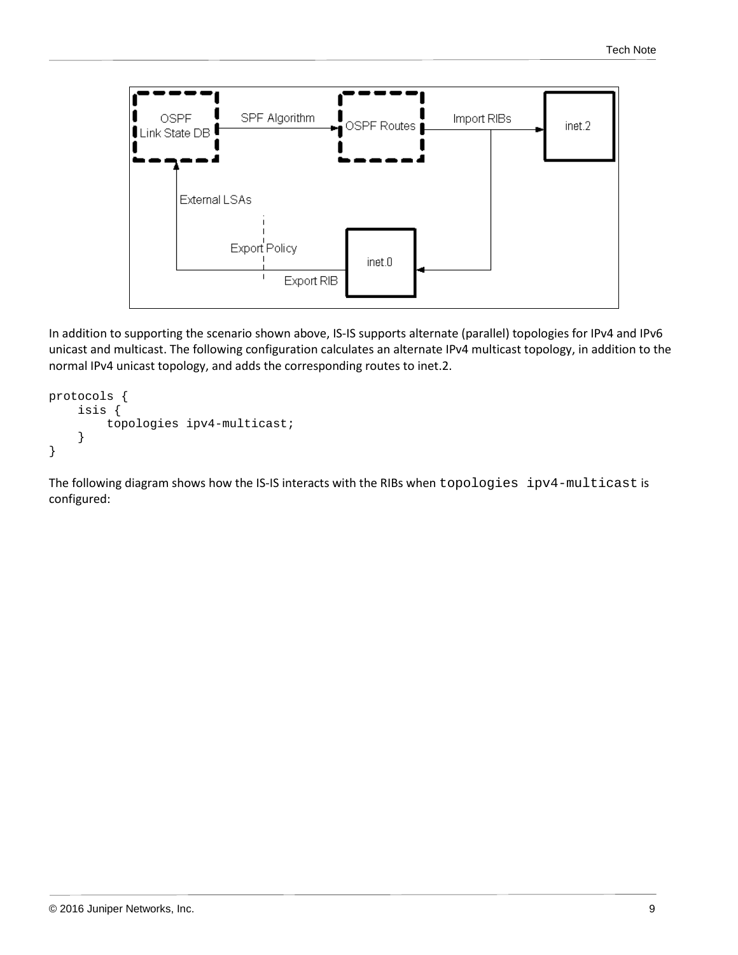

In addition to supporting the scenario shown above, IS-IS supports alternate (parallel) topologies for IPv4 and IPv6 unicast and multicast. The following configuration calculates an alternate IPv4 multicast topology, in addition to the normal IPv4 unicast topology, and adds the corresponding routes to inet.2.

```
protocols {
     isis {
          topologies ipv4-multicast;
     }
}
```
The following diagram shows how the IS-IS interacts with the RIBs when topologies ipv4-multicast is configured: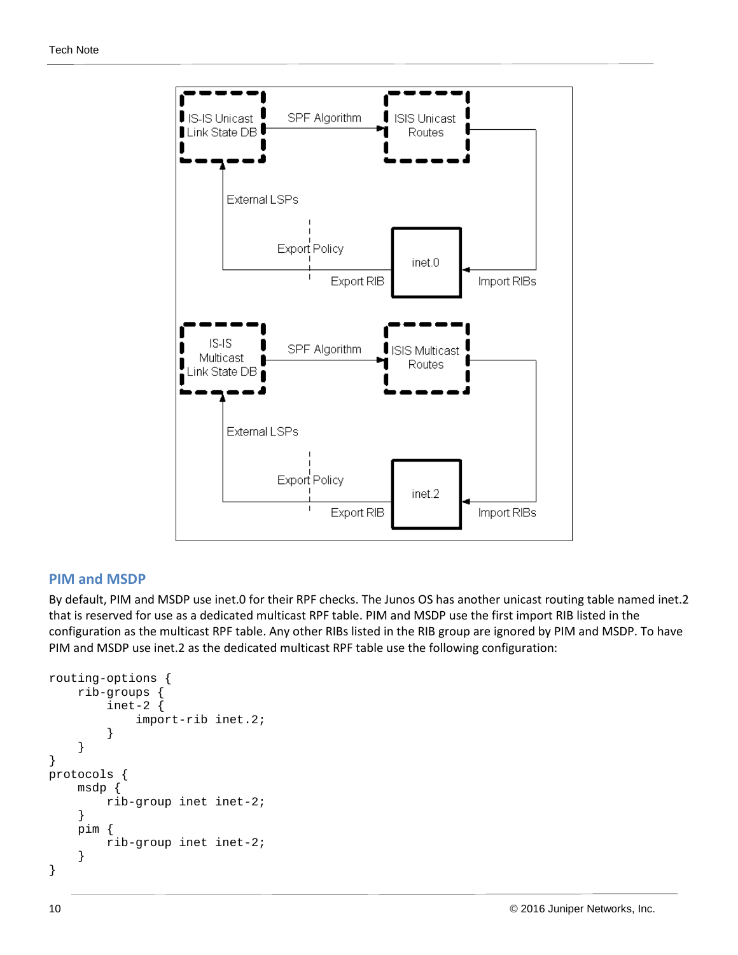

#### <span id="page-9-0"></span>**PIM and MSDP**

By default, PIM and MSDP use inet.0 for their RPF checks. The Junos OS has another unicast routing table named inet.2 that is reserved for use as a dedicated multicast RPF table. PIM and MSDP use the first import RIB listed in the configuration as the multicast RPF table. Any other RIBs listed in the RIB group are ignored by PIM and MSDP. To have PIM and MSDP use inet.2 as the dedicated multicast RPF table use the following configuration:

```
routing-options {
     rib-groups {
          inet-2 {
              import-rib inet.2;
 }
     }
}
protocols {
     msdp {
         rib-group inet inet-2;
     }
     pim {
         rib-group inet inet-2;
     }
}
```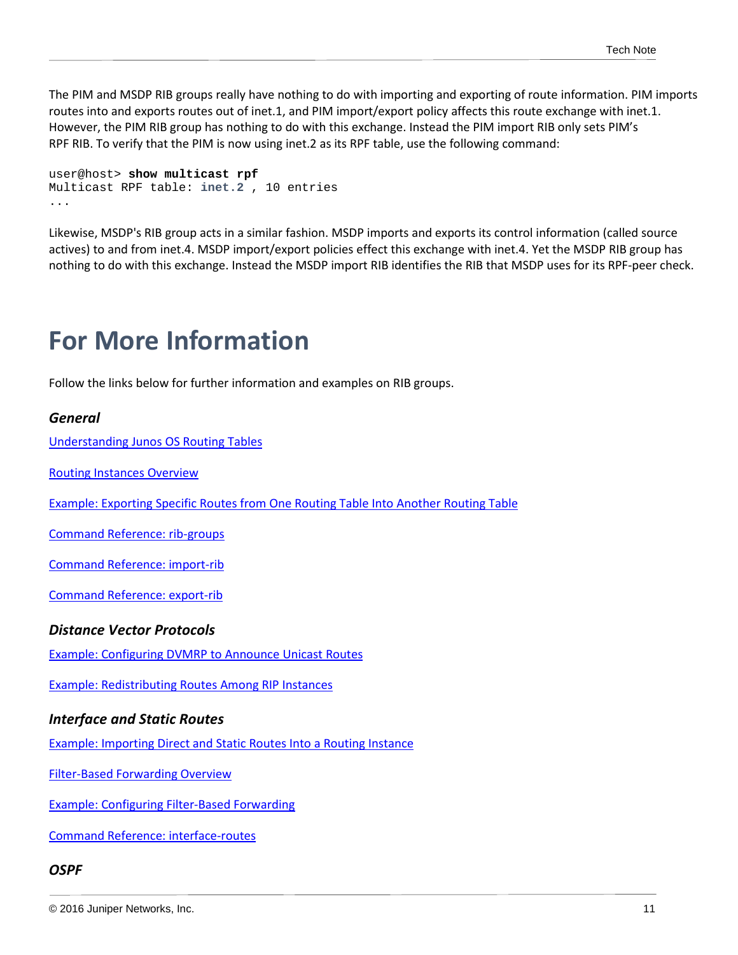The PIM and MSDP RIB groups really have nothing to do with importing and exporting of route information. PIM imports routes into and exports routes out of inet.1, and PIM import/export policy affects this route exchange with inet.1. However, the PIM RIB group has nothing to do with this exchange. Instead the PIM import RIB only sets PIM's RPF RIB. To verify that the PIM is now using inet.2 as its RPF table, use the following command:

```
user@host> show multicast rpf
Multicast RPF table: inet.2 , 10 entries
...
```
Likewise, MSDP's RIB group acts in a similar fashion. MSDP imports and exports its control information (called source actives) to and from inet.4. MSDP import/export policies effect this exchange with inet.4. Yet the MSDP RIB group has nothing to do with this exchange. Instead the MSDP import RIB identifies the RIB that MSDP uses for its RPF-peer check.

### <span id="page-10-0"></span>**For More Information**

Follow the links below for further information and examples on RIB groups.

#### *General*

[Understanding Junos OS Routing Tables](https://www.juniper.net/techpubs/en_US/junos/topics/concept/routing-tables-understanding.html)

[Routing Instances Overview](https://www.juniper.net/documentation/en_US/junos/topics/concept/routing-instances-overview.html)

[Example: Exporting Specific Routes from One Routing Table Into Another Routing Table](https://www.juniper.net/documentation/en_US/junos/topics/example/policy-duplicating-routes.html)

[Command Reference: rib-groups](https://www.juniper.net/documentation/en_US/junos/topics/reference/configuration-statement/rib-groups-edit-routing-options.html)

[Command Reference: import-rib](https://www.juniper.net/techpubs/en_US/junos/topics/reference/configuration-statement/import-rib-edit-routing-options.html)

[Command Reference: export-rib](https://www.juniper.net/documentation/en_US/junos/topics/reference/configuration-statement/export-rib-edit-routing-options.html)

#### *Distance Vector Protocols*

[Example: Configuring DVMRP to Announce Unicast Routes](https://www.juniper.net/documentation/en_US/junos/topics/example/mcast-dvmrp-unicast.html)

[Example: Redistributing Routes Among RIP Instances](http://www.juniper.net/documentation/en_US/junos/topics/topic-map/rip-routing-instance-redistribute.html)

#### *Interface and Static Routes*

[Example: Importing Direct and Static Routes Into a Routing Instance](https://www.juniper.net/techpubs/en_US/junos/topics/example/routing-table-import.html)

[Filter-Based Forwarding Overview](https://www.juniper.net/documentation/en_US/junos/topics/concept/firewall-filter-option-filter-based-forwarding-overview.html)

[Example: Configuring Filter-Based Forwarding](http://www.juniper.net/techpubs/en_US/junos/topics/example/filter-based-forwarding-example.html)

[Command Reference: interface-routes](https://www.juniper.net/techpubs/en_US/junos/topics/reference/configuration-statement/interface-routes-edit-routing-options.html)

#### *OSPF*